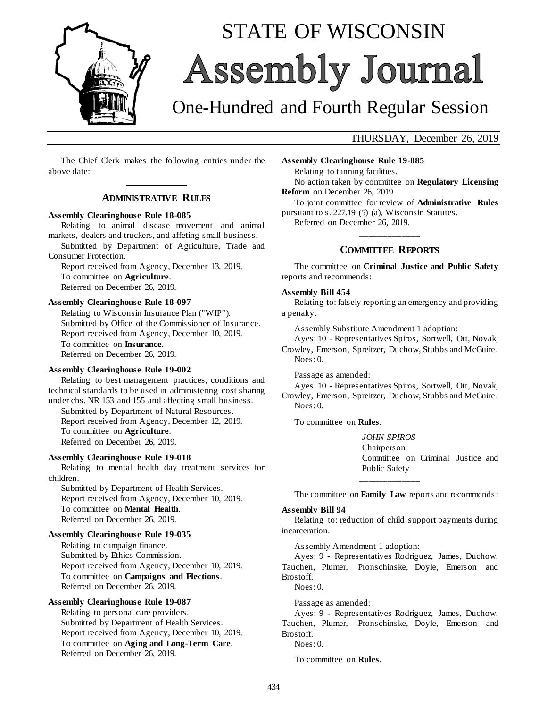

# STATE OF WISCONSIN Assembly Journal

# One-Hundred and Fourth Regular Session

### THURSDAY, December 26, 2019

The Chief Clerk makes the following entries under the above date: **\_\_\_\_\_\_\_\_\_\_\_\_\_**

#### **ADMINISTRATIVE RULES**

#### **Assembly Clearinghouse Rule 18-085**

Relating to animal disease movement and animal markets, dealers and truckers, and affeting small business.

Submitted by Department of Agriculture, Trade and Consumer Protection.

Report received from Agency, December 13, 2019. To committee on **Agriculture**. Referred on December 26, 2019.

#### **Assembly Clearinghouse Rule 18-097**

Relating to Wisconsin Insurance Plan ("WIP"). Submitted by Office of the Commissioner of Insurance. Report received from Agency, December 10, 2019. To committee on **Insurance**. Referred on December 26, 2019.

#### **Assembly Clearinghouse Rule 19-002**

Relating to best management practices, conditions and technical standards to be used in administering cost sharing under chs. NR 153 and 155 and affecting small business.

Submitted by Department of Natural Resources. Report received from Agency, December 12, 2019. To committee on **Agriculture**. Referred on December 26, 2019.

#### **Assembly Clearinghouse Rule 19-018**

Relating to mental health day treatment services for children.

Submitted by Department of Health Services. Report received from Agency, December 10, 2019. To committee on **Mental Health**. Referred on December 26, 2019.

#### **Assembly Clearinghouse Rule 19-035**

Relating to campaign finance. Submitted by Ethics Commission. Report received from Agency, December 10, 2019. To committee on **Campaigns and Elections**. Referred on December 26, 2019.

#### **Assembly Clearinghouse Rule 19-087**

Relating to personal care providers. Submitted by Department of Health Services. Report received from Agency, December 10, 2019. To committee on **Aging and Long-Term Care**. Referred on December 26, 2019.

**Assembly Clearinghouse Rule 19-085** Relating to tanning facilities. No action taken by committee on **Regulatory Licensing Reform** on December 26, 2019.

To joint committee for review of **Administrative Rules** pursuant to s. 227.19 (5) (a), Wisconsin Statutes.

Referred on December 26, 2019.

## **\_\_\_\_\_\_\_\_\_\_\_\_\_ COMMITTEE REPORTS**

The committee on **Criminal Justice and Public Safety** reports and recommends:

#### **Assembly Bill 454**

Relating to: falsely reporting an emergency and providing a penalty.

Assembly Substitute Amendment 1 adoption:

Ayes: 10 - Representatives Spiros, Sortwell, Ott, Novak, Crowley, Emerson, Spreitzer, Duchow, Stubbs and McGuire. Noes: 0.

Passage as amended:

Ayes: 10 - Representatives Spiros, Sortwell, Ott, Novak, Crowley, Emerson, Spreitzer, Duchow, Stubbs and McGuire. Noes: 0.

To committee on **Rules**.

*JOHN SPIROS* Chairperson Committee on Criminal Justice and Public Safety **\_\_\_\_\_\_\_\_\_\_\_\_\_**

The committee on **Family Law** reports and recommends :

#### **Assembly Bill 94**

Relating to: reduction of child support payments during incarceration.

Assembly Amendment 1 adoption:

Ayes: 9 - Representatives Rodriguez, James, Duchow, Tauchen, Plumer, Pronschinske, Doyle, Emerson and Brostoff. Noes: 0.

Passage as amended:

Ayes: 9 - Representatives Rodriguez, James, Duchow, Tauchen, Plumer, Pronschinske, Doyle, Emerson and Brostoff.

Noes: 0.

To committee on **Rules**.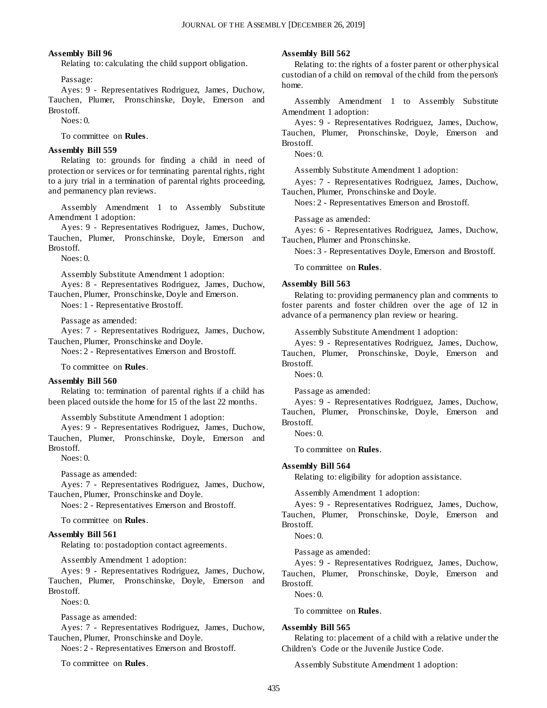#### **Assembly Bill 96**

Relating to: calculating the child support obligation.

Passage:

Ayes: 9 - Representatives Rodriguez, James, Duchow, Tauchen, Plumer, Pronschinske, Doyle, Emerson and Brostoff.

Noes: 0.

To committee on **Rules**.

#### **Assembly Bill 559**

Relating to: grounds for finding a child in need of protection or services or for terminating parental rights, right to a jury trial in a termination of parental rights proceeding, and permanency plan reviews.

Assembly Amendment 1 to Assembly Substitute Amendment 1 adoption:

Ayes: 9 - Representatives Rodriguez, James, Duchow, Tauchen, Plumer, Pronschinske, Doyle, Emerson and Brostoff.

 $N$ oes: 0.

Assembly Substitute Amendment 1 adoption:

Ayes: 8 - Representatives Rodriguez, James, Duchow, Tauchen, Plumer, Pronschinske, Doyle and Emerson.

Noes: 1 - Representative Brostoff.

Passage as amended:

Ayes: 7 - Representatives Rodriguez, James, Duchow, Tauchen, Plumer, Pronschinske and Doyle.

Noes: 2 - Representatives Emerson and Brostoff.

To committee on **Rules**.

#### **Assembly Bill 560**

Relating to: termination of parental rights if a child has been placed outside the home for 15 of the last 22 months.

Assembly Substitute Amendment 1 adoption:

Ayes: 9 - Representatives Rodriguez, James, Duchow, Tauchen, Plumer, Pronschinske, Doyle, Emerson and Brostoff.

Noes: 0.

Passage as amended:

Ayes: 7 - Representatives Rodriguez, James, Duchow, Tauchen, Plumer, Pronschinske and Doyle.

Noes: 2 - Representatives Emerson and Brostoff.

To committee on **Rules**.

#### **Assembly Bill 561**

Relating to: postadoption contact agreements.

Assembly Amendment 1 adoption:

Ayes: 9 - Representatives Rodriguez, James, Duchow, Tauchen, Plumer, Pronschinske, Doyle, Emerson and Brostoff.

Noes: 0.

Passage as amended:

Ayes: 7 - Representatives Rodriguez, James, Duchow, Tauchen, Plumer, Pronschinske and Doyle.

Noes: 2 - Representatives Emerson and Brostoff.

To committee on **Rules**.

#### **Assembly Bill 562**

Relating to: the rights of a foster parent or other physical custodian of a child on removal of the child from the person's home.

Assembly Amendment 1 to Assembly Substitute Amendment 1 adoption:

Ayes: 9 - Representatives Rodriguez, James, Duchow, Tauchen, Plumer, Pronschinske, Doyle, Emerson and Brostoff.

Noes: 0.

Assembly Substitute Amendment 1 adoption:

Ayes: 7 - Representatives Rodriguez, James, Duchow, Tauchen, Plumer, Pronschinske and Doyle.

Noes: 2 - Representatives Emerson and Brostoff.

Passage as amended:

Ayes: 6 - Representatives Rodriguez, James, Duchow, Tauchen, Plumer and Pronschinske.

Noes: 3 - Representatives Doyle, Emerson and Brostoff.

To committee on **Rules**.

#### **Assembly Bill 563**

Relating to: providing permanency plan and comments to foster parents and foster children over the age of 12 in advance of a permanency plan review or hearing.

Assembly Substitute Amendment 1 adoption:

Ayes: 9 - Representatives Rodriguez, James, Duchow, Tauchen, Plumer, Pronschinske, Doyle, Emerson and Brostoff.

Noes: 0.

Passage as amended:

Ayes: 9 - Representatives Rodriguez, James, Duchow, Tauchen, Plumer, Pronschinske, Doyle, Emerson and Brostoff.

Noes: 0.

To committee on **Rules**.

#### **Assembly Bill 564**

Relating to: eligibility for adoption assistance.

Assembly Amendment 1 adoption:

Ayes: 9 - Representatives Rodriguez, James, Duchow, Tauchen, Plumer, Pronschinske, Doyle, Emerson and Brostoff.

Noes: 0.

Passage as amended:

Ayes: 9 - Representatives Rodriguez, James, Duchow, Tauchen, Plumer, Pronschinske, Doyle, Emerson and Brostoff.

Noes: 0.

To committee on **Rules**.

#### **Assembly Bill 565**

Relating to: placement of a child with a relative under the Children's Code or the Juvenile Justice Code.

Assembly Substitute Amendment 1 adoption: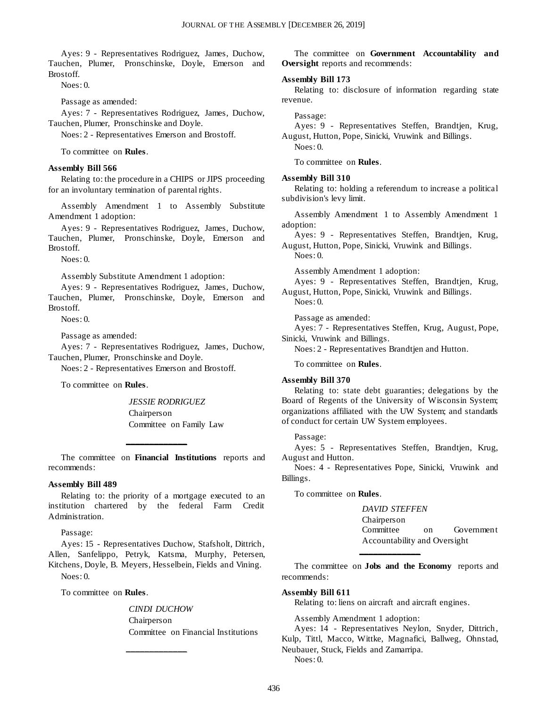Ayes: 9 - Representatives Rodriguez, James, Duchow, Tauchen, Plumer, Pronschinske, Doyle, Emerson and Brostoff.

Noes: 0.

Passage as amended:

Ayes: 7 - Representatives Rodriguez, James, Duchow, Tauchen, Plumer, Pronschinske and Doyle.

Noes: 2 - Representatives Emerson and Brostoff.

To committee on **Rules**.

#### **Assembly Bill 566**

Relating to: the procedure in a CHIPS or JIPS proceeding for an involuntary termination of parental rights.

Assembly Amendment 1 to Assembly Substitute Amendment 1 adoption:

Ayes: 9 - Representatives Rodriguez, James, Duchow, Tauchen, Plumer, Pronschinske, Doyle, Emerson and Brostoff.

Noes: 0.

Assembly Substitute Amendment 1 adoption:

Ayes: 9 - Representatives Rodriguez, James, Duchow, Tauchen, Plumer, Pronschinske, Doyle, Emerson and Brostoff.

Noes: 0.

Passage as amended:

Ayes: 7 - Representatives Rodriguez, James, Duchow, Tauchen, Plumer, Pronschinske and Doyle.

Noes: 2 - Representatives Emerson and Brostoff.

To committee on **Rules**.

*JESSIE RODRIGUEZ* Chairperson Committee on Family Law

The committee on **Financial Institutions** reports and recommends:

**\_\_\_\_\_\_\_\_\_\_\_\_\_**

#### **Assembly Bill 489**

Relating to: the priority of a mortgage executed to an institution chartered by the federal Farm Credit Administration.

Passage:

Ayes: 15 - Representatives Duchow, Stafsholt, Dittrich, Allen, Sanfelippo, Petryk, Katsma, Murphy, Petersen, Kitchens, Doyle, B. Meyers, Hesselbein, Fields and Vining. Noes: 0.

**\_\_\_\_\_\_\_\_\_\_\_\_\_**

To committee on **Rules**.

*CINDI DUCHOW* Chairperson Committee on Financial Institutions

The committee on **Government Accountability and Oversight** reports and recommends:

#### **Assembly Bill 173**

Relating to: disclosure of information regarding state revenue.

#### Passage:

Ayes: 9 - Representatives Steffen, Brandtjen, Krug, August, Hutton, Pope, Sinicki, Vruwink and Billings.

Noes: 0.

To committee on **Rules**.

#### **Assembly Bill 310**

Relating to: holding a referendum to increase a political subdivision's levy limit.

Assembly Amendment 1 to Assembly Amendment 1 adoption:

Ayes: 9 - Representatives Steffen, Brandtjen, Krug, August, Hutton, Pope, Sinicki, Vruwink and Billings.

Noes: 0.

Assembly Amendment 1 adoption:

Ayes: 9 - Representatives Steffen, Brandtjen, Krug, August, Hutton, Pope, Sinicki, Vruwink and Billings. Noes: 0.

Passage as amended:

Ayes: 7 - Representatives Steffen, Krug, August, Pope, Sinicki, Vruwink and Billings.

Noes: 2 - Representatives Brandtjen and Hutton.

To committee on **Rules**.

#### **Assembly Bill 370**

Relating to: state debt guaranties; delegations by the Board of Regents of the University of Wisconsin System; organizations affiliated with the UW System; and standards of conduct for certain UW System employees.

Passage:

Ayes: 5 - Representatives Steffen, Brandtjen, Krug, August and Hutton.

Noes: 4 - Representatives Pope, Sinicki, Vruwink and Billings.

To committee on **Rules**.

*DAVID STEFFEN* Chairperson Committee on Government Accountability and Oversight

The committee on **Jobs and the Economy** reports and recommends:

**\_\_\_\_\_\_\_\_\_\_\_\_\_**

#### **Assembly Bill 611**

Relating to: liens on aircraft and aircraft engines.

Assembly Amendment 1 adoption:

Ayes: 14 - Representatives Neylon, Snyder, Dittrich, Kulp, Tittl, Macco, Wittke, Magnafici, Ballweg, Ohnstad, Neubauer, Stuck, Fields and Zamarripa. Noes: 0.

436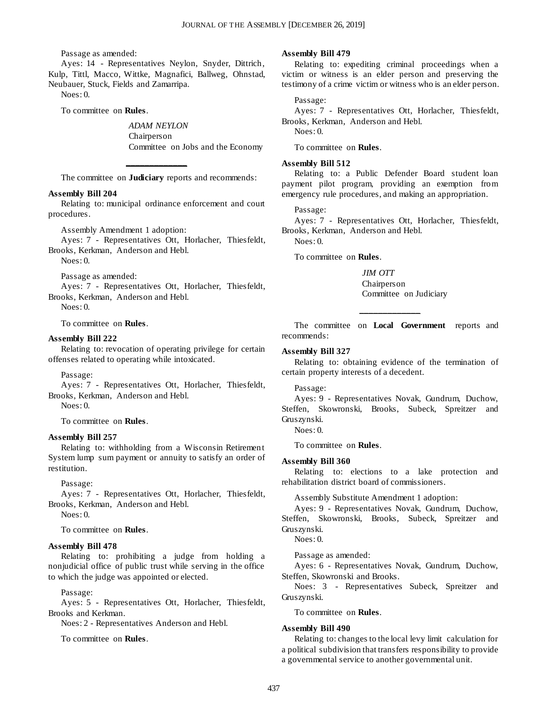Passage as amended:

Ayes: 14 - Representatives Neylon, Snyder, Dittrich, Kulp, Tittl, Macco, Wittke, Magnafici, Ballweg, Ohnstad, Neubauer, Stuck, Fields and Zamarripa. Noes: 0.

To committee on **Rules**.

*ADAM NEYLON* Chairperson Committee on Jobs and the Economy

**\_\_\_\_\_\_\_\_\_\_\_\_\_** The committee on **Judiciary** reports and recommends:

#### **Assembly Bill 204**

Relating to: municipal ordinance enforcement and court procedures.

Assembly Amendment 1 adoption:

Ayes: 7 - Representatives Ott, Horlacher, Thiesfeldt, Brooks, Kerkman, Anderson and Hebl.

Noes: 0.

Passage as amended:

Ayes: 7 - Representatives Ott, Horlacher, Thiesfeldt, Brooks, Kerkman, Anderson and Hebl.

Noes: 0.

To committee on **Rules**.

#### **Assembly Bill 222**

Relating to: revocation of operating privilege for certain offenses related to operating while intoxicated.

#### Passage:

Ayes: 7 - Representatives Ott, Horlacher, Thiesfeldt, Brooks, Kerkman, Anderson and Hebl.

Noes: 0.

To committee on **Rules**.

#### **Assembly Bill 257**

Relating to: withholding from a Wisconsin Retirement System lump sum payment or annuity to satisfy an order of restitution.

Passage:

Ayes: 7 - Representatives Ott, Horlacher, Thiesfeldt, Brooks, Kerkman, Anderson and Hebl.

Noes: 0.

To committee on **Rules**.

#### **Assembly Bill 478**

Relating to: prohibiting a judge from holding a nonjudicial office of public trust while serving in the office to which the judge was appointed or elected.

Passage:

Ayes: 5 - Representatives Ott, Horlacher, Thiesfeldt, Brooks and Kerkman.

Noes: 2 - Representatives Anderson and Hebl.

To committee on **Rules**.

#### **Assembly Bill 479**

Relating to: expediting criminal proceedings when a victim or witness is an elder person and preserving the testimony of a crime victim or witness who is an elder person.

#### Passage:

Ayes: 7 - Representatives Ott, Horlacher, Thiesfeldt, Brooks, Kerkman, Anderson and Hebl.

Noes: 0.

To committee on **Rules**.

#### **Assembly Bill 512**

Relating to: a Public Defender Board student loan payment pilot program, providing an exemption from emergency rule procedures, and making an appropriation.

Passage:

Ayes: 7 - Representatives Ott, Horlacher, Thiesfeldt, Brooks, Kerkman, Anderson and Hebl.

 $N$ oes: 0.

To committee on **Rules**.

*JIM OTT* Chairperson Committee on Judiciary

The committee on **Local Government** reports and recommends:

**\_\_\_\_\_\_\_\_\_\_\_\_\_**

#### **Assembly Bill 327**

Relating to: obtaining evidence of the termination of certain property interests of a decedent.

Passage:

Ayes: 9 - Representatives Novak, Gundrum, Duchow, Steffen, Skowronski, Brooks, Subeck, Spreitzer and Gruszynski.

Noes: 0.

To committee on **Rules**.

#### **Assembly Bill 360**

Relating to: elections to a lake protection and rehabilitation district board of commissioners.

Assembly Substitute Amendment 1 adoption:

Ayes: 9 - Representatives Novak, Gundrum, Duchow, Steffen, Skowronski, Brooks, Subeck, Spreitzer and Gruszynski.

Noes: 0.

Passage as amended:

Ayes: 6 - Representatives Novak, Gundrum, Duchow, Steffen, Skowronski and Brooks.

Noes: 3 - Representatives Subeck, Spreitzer and Gruszynski.

To committee on **Rules**.

#### **Assembly Bill 490**

Relating to: changes to the local levy limit calculation for a political subdivision that transfers responsibility to provide a governmental service to another governmental unit.